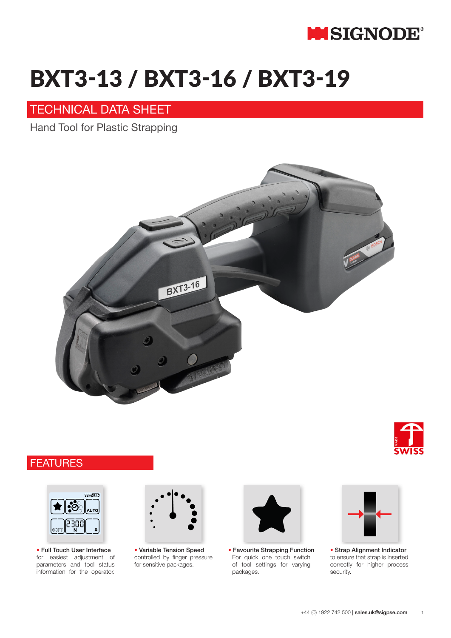

## STB 71 / STB 73 / STB 75 BXT3-13 / BXT3-16 / BXT3-19

### TECHNICAL DATA SHEET

Technical Data Sheet Data Sheet Technical Data Sheet Technical Data Sheet Technical Data Sheet Technical Data S Hand Tool for Plastic Strapping







for easiest adjustment of parameters and tool status information for the operator. ■ **Full touch user interface** • Full Touch User Interface



controlled by finger pressure controlled by finger pressure for sensitive packages for sensitive packages. ■ **Variable tension speed** • Variable Tension Speed



For quick one touch switch of tool settings for varying ■ **Favorite strapping function** • Favourite Strapping Functionpackages.



to ensure that strap is inserted to ensure that strap is inserted correctly for higher process correctly for higher process security security. ■ **Strap alignment indication** • Strap Alignment Indicator